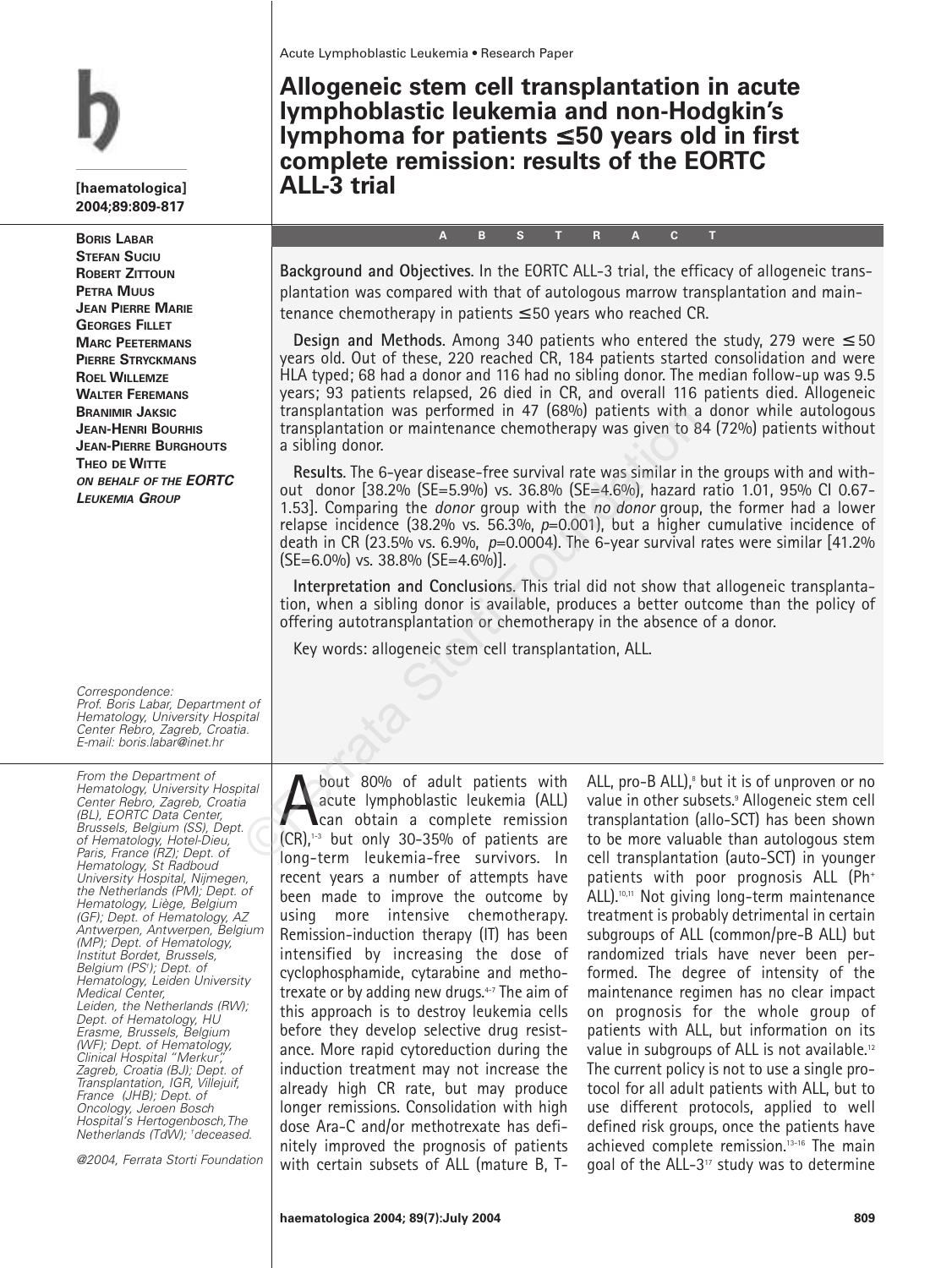**[haematologica] 2004;89:809-817**

**BORIS LABAR STEFAN SUCIU ROBERT ZITTOUN PETRA MUUS JEAN PIERRE MARIE GEORGES FILLET MARC PEETERMANS PIERRE STRYCKMANS ROEL WILLEMZE WALTER FEREMANS BRANIMIR JAKSIC JEAN-HENRI BOURHIS JEAN-PIERRE BURGHOUTS THEO DE WITTE ON BEHALF OF THE EORTC LEUKEMIA GROUP**

Correspondence: Prof. Boris Labar, Department of Hematology, University Hospital Center Rebro, Zagreb, Croatia. E-mail: boris.labar@inet.hr

From the Department of Hematology, University Hospital Center Rebro, Zagreb, Croatia (BL), EORTC Data Center, Brussels, Belgium (SS), Dept. of Hematology, Hotel-Dieu, Paris, France (RZ); Dept. of Hematology, St Radboud University Hospital, Nijmegen, the Netherlands (PM); Dept. of Hematology, Liège, Belgium (GF); Dept. of Hematology, AZ Antwerpen, Antwerpen, Belgium (MP); Dept. of Hematology, Institut Bordet, Brussels, Belgium (PS† ); Dept. of Hematology, Leiden University Medical Center, Leiden, the Netherlands (RW); Dept. of Hematology, HU Erasme, Brussels, Belgium (WF); Dept. of Hematology, Clinical Hospital "Merkur", Zagreb, Croatia (BJ); Dept. of Transplantation, IGR, Villejuif, France (JHB); Dept. of Oncology, Jeroen Bosch Hospital's Hertogenbosch,The Netherlands (TdW); † deceased.

@2004, Ferrata Storti Foundation

**Allogeneic stem cell transplantation in acute lymphoblastic leukemia and non-Hodgkin's lymphoma for patients** ≤ **50 years old in first complete remission: results of the EORTC ALL-3 trial**

**Background and Objectives**. In the EORTC ALL-3 trial, the efficacy of allogeneic transplantation was compared with that of autologous marrow transplantation and maintenance chemotherapy in patients  $\leq$  50 years who reached CR.

**ABSTRACT**

**Design and Methods.** Among 340 patients who entered the study, 279 were  $\leq$  50 years old. Out of these, 220 reached CR, 184 patients started consolidation and were HLA typed; 68 had a donor and 116 had no sibling donor. The median follow-up was 9.5 years; 93 patients relapsed, 26 died in CR, and overall 116 patients died. Allogeneic transplantation was performed in 47 (68%) patients with a donor while autologous transplantation or maintenance chemotherapy was given to 84 (72%) patients without a sibling donor.

**Results**. The 6-year disease-free survival rate was similar in the groups with and without donor [38.2% (SE=5.9%) vs. 36.8% (SE=4.6%), hazard ratio 1.01, 95% CI 0.67- 1.53]. Comparing the *donor* group with the *no donor* group, the former had a lower relapse incidence (38.2% vs. 56.3%, *p*=0.001), but a higher cumulative incidence of death in CR (23.5% vs. 6.9%, *p*=0.0004). The 6-year survival rates were similar [41.2%  $[SE=6.0\%]$  vs. 38.8%  $[SE=4.6\%]$ . transplantation or maintenance chemotherapy was given to 8<br>
a sibling donor.<br>
Results. The 6-year disease-free survival rate was similar in t<br>
out donor [38.2% (SE=5.9%) vs. 36.8% (SE=4.6%), hazard<br>
1.53]. Comparing the d

**Interpretation and Conclusions**. This trial did not show that allogeneic transplantation, when a sibling donor is available, produces a better outcome than the policy of offering autotransplantation or chemotherapy in the absence of a donor.

Key words: allogeneic stem cell transplantation, ALL.

bout 80% of adult patients with<br>acute lymphoblastic leukemia (ALL)<br>can obtain a complete remission<br>(CR)<sup>13</sup> but only 30-35% of patients are acute lymphoblastic leukemia (ALL) can obtain a complete remission  $|CR\rangle$ .<sup>1-3</sup> but only 30-35% of patients are long-term leukemia-free survivors. In recent years a number of attempts have been made to improve the outcome by using more intensive chemotherapy. Remission-induction therapy (IT) has been intensified by increasing the dose of cyclophosphamide, cytarabine and methotrexate or by adding new drugs.4-7 The aim of this approach is to destroy leukemia cells before they develop selective drug resistance. More rapid cytoreduction during the induction treatment may not increase the already high CR rate, but may produce longer remissions. Consolidation with high dose Ara-C and/or methotrexate has definitely improved the prognosis of patients with certain subsets of ALL (mature B, T-

ALL, pro-B ALL), $8$  but it is of unproven or no value in other subsets.9 Allogeneic stem cell transplantation (allo-SCT) has been shown to be more valuable than autologous stem cell transplantation (auto-SCT) in younger patients with poor prognosis ALL (Ph+ ALL).<sup>10,11</sup> Not giving long-term maintenance treatment is probably detrimental in certain subgroups of ALL (common/pre-B ALL) but randomized trials have never been performed. The degree of intensity of the maintenance regimen has no clear impact on prognosis for the whole group of patients with ALL, but information on its value in subgroups of ALL is not available.12 The current policy is not to use a single protocol for all adult patients with ALL, but to use different protocols, applied to well defined risk groups, once the patients have achieved complete remission.13-16 The main goal of the ALL-3 $17$  study was to determine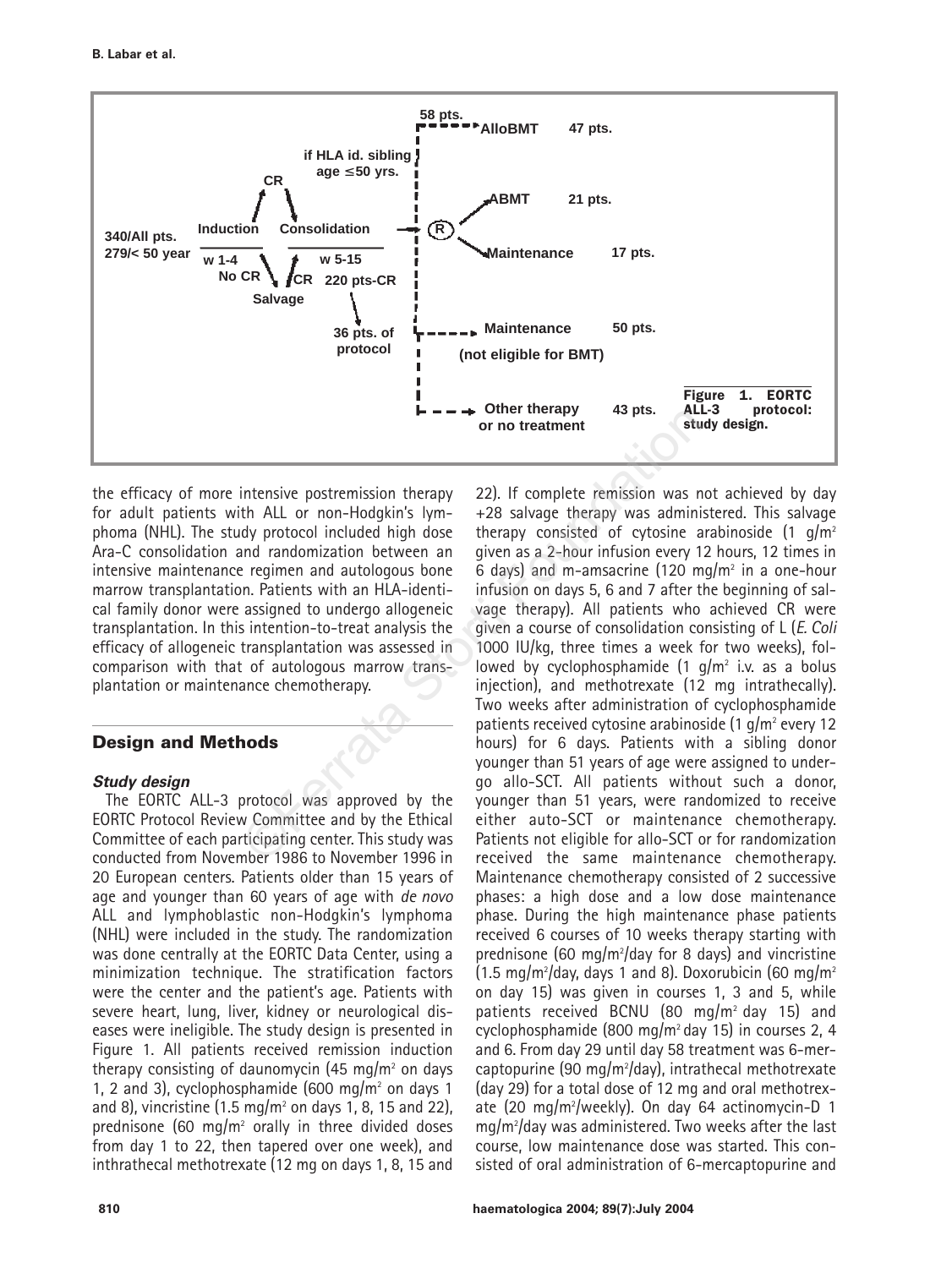

the efficacy of more intensive postremission therapy for adult patients with ALL or non-Hodgkin's lymphoma (NHL). The study protocol included high dose Ara-C consolidation and randomization between an intensive maintenance regimen and autologous bone marrow transplantation. Patients with an HLA-identical family donor were assigned to undergo allogeneic transplantation. In this intention-to-treat analysis the efficacy of allogeneic transplantation was assessed in comparison with that of autologous marrow transplantation or maintenance chemotherapy.

# **Design and Methods**

## **Study design**

The EORTC ALL-3 protocol was approved by the EORTC Protocol Review Committee and by the Ethical Committee of each participating center. This study was conducted from November 1986 to November 1996 in 20 European centers. Patients older than 15 years of age and younger than 60 years of age with *de novo* ALL and lymphoblastic non-Hodgkin's lymphoma (NHL) were included in the study. The randomization was done centrally at the EORTC Data Center, using a minimization technique. The stratification factors were the center and the patient's age. Patients with severe heart, lung, liver, kidney or neurological diseases were ineligible. The study design is presented in Figure 1. All patients received remission induction therapy consisting of daunomycin (45 mg/m<sup>2</sup> on days 1, 2 and 3), cyclophosphamide (600 mg/m<sup>2</sup> on days 1 and 8), vincristine  $(1.5 \text{ mg/m}^2 \text{ on days } 1, 8, 15 \text{ and } 22)$ , prednisone (60 mg/m<sup>2</sup> orally in three divided doses from day 1 to 22, then tapered over one week), and inthrathecal methotrexate (12 mg on days 1, 8, 15 and

22). If complete remission was not achieved by day +28 salvage therapy was administered. This salvage therapy consisted of cytosine arabinoside  $(1 \text{ q/m}^2)$ given as a 2-hour infusion every 12 hours, 12 times in 6 days) and m-amsacrine (120 mg/m<sup>2</sup> in a one-hour infusion on days 5, 6 and 7 after the beginning of salvage therapy). All patients who achieved CR were given a course of consolidation consisting of L (*E. Coli* 1000 IU/kg, three times a week for two weeks), followed by cyclophosphamide  $(1 \text{ q/m}^2)$  i.v. as a bolus injection), and methotrexate (12 mg intrathecally). Two weeks after administration of cyclophosphamide patients received cytosine arabinoside  $(1 \text{ g/m}^2 \text{ every } 12$ hours) for 6 days. Patients with a sibling donor younger than 51 years of age were assigned to undergo allo-SCT. All patients without such a donor, younger than 51 years, were randomized to receive either auto-SCT or maintenance chemotherapy. Patients not eligible for allo-SCT or for randomization received the same maintenance chemotherapy. Maintenance chemotherapy consisted of 2 successive phases: a high dose and a low dose maintenance phase. During the high maintenance phase patients received 6 courses of 10 weeks therapy starting with prednisone (60 mg/m $^{2}$ /day for 8 days) and vincristine (1.5 mg/m²/day, days 1 and 8). Doxorubicin (60 mg/m $^{2}$ on day 15) was given in courses 1, 3 and 5, while patients received BCNU (80 mg/m<sup>2</sup> day 15) and cyclophosphamide (800 mg/m2 day 15) in courses 2, 4 and 6. From day 29 until day 58 treatment was 6-mercaptopurine (90 mg/m2 /day), intrathecal methotrexate (day 29) for a total dose of 12 mg and oral methotrexate (20 mg/m2 /weekly). On day 64 actinomycin-D 1 mg/m2 /day was administered. Two weeks after the last course, low maintenance dose was started. This consisted of oral administration of 6-mercaptopurine and Fracta Storting and The Complete This student and the student of the Storting and the ALL or non-Hodgkin's lym-<br>
or no treatment<br>
as a local of cytosine a<br>
and randomization between an given as a 2-hour infusion every 1<br>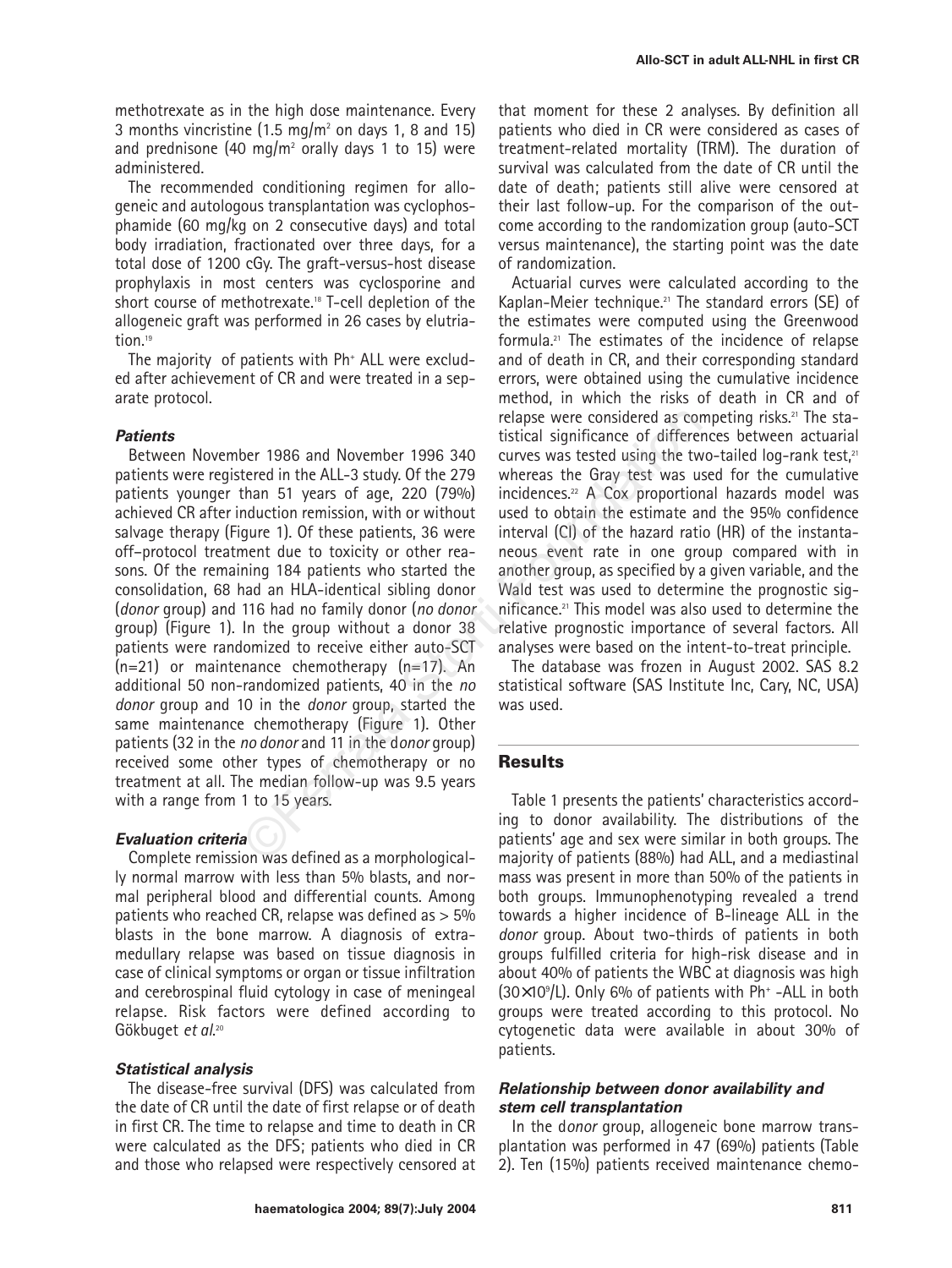methotrexate as in the high dose maintenance. Every 3 months vincristine  $(1.5 \text{ mg/m}^2)$  on days 1, 8 and 15) and prednisone (40 mg/m<sup>2</sup> orally days 1 to 15) were administered.

The recommended conditioning regimen for allogeneic and autologous transplantation was cyclophosphamide (60 mg/kg on 2 consecutive days) and total body irradiation, fractionated over three days, for a total dose of 1200 cGy. The graft-versus-host disease prophylaxis in most centers was cyclosporine and short course of methotrexate.18 T-cell depletion of the allogeneic graft was performed in 26 cases by elutriation<sup>19</sup>

The majority of patients with Ph<sup>+</sup> ALL were excluded after achievement of CR and were treated in a separate protocol.

### **Patients**

Between November 1986 and November 1996 340 patients were registered in the ALL-3 study. Of the 279 patients younger than 51 years of age, 220 (79%) achieved CR after induction remission, with or without salvage therapy (Figure 1). Of these patients, 36 were off–protocol treatment due to toxicity or other reasons. Of the remaining 184 patients who started the consolidation, 68 had an HLA-identical sibling donor (*donor* group) and 116 had no family donor (*no donor* group) (Figure 1). In the group without a donor 38 patients were randomized to receive either auto-SCT  $(n=21)$  or maintenance chemotherapy  $(n=17)$ . An additional 50 non-randomized patients, 40 in the *no donor* group and 10 in the *donor* group, started the same maintenance chemotherapy (Figure 1). Other patients (32 in the *no donor* and 11 in the d*onor* group) received some other types of chemotherapy or no treatment at all. The median follow-up was 9.5 years with a range from 1 to 15 years. relapse were considered as complised as complised as complised as complised to the terration the ALL-3 study. Of the 279 whereas the Gray test was used than 51 years of age, 220 (79%) incidences.<sup>22</sup> A Cox proportion memis

### **Evaluation criteria**

Complete remission was defined as a morphologically normal marrow with less than 5% blasts, and normal peripheral blood and differential counts. Among patients who reached CR, relapse was defined as > 5% blasts in the bone marrow. A diagnosis of extramedullary relapse was based on tissue diagnosis in case of clinical symptoms or organ or tissue infiltration and cerebrospinal fluid cytology in case of meningeal relapse. Risk factors were defined according to Gökbuget *et al*. 20

## **Statistical analysis**

The disease-free survival (DFS) was calculated from the date of CR until the date of first relapse or of death in first CR. The time to relapse and time to death in CR were calculated as the DFS; patients who died in CR and those who relapsed were respectively censored at that moment for these 2 analyses. By definition all patients who died in CR were considered as cases of treatment-related mortality (TRM). The duration of survival was calculated from the date of CR until the date of death; patients still alive were censored at their last follow-up. For the comparison of the outcome according to the randomization group (auto-SCT versus maintenance), the starting point was the date of randomization.

Actuarial curves were calculated according to the Kaplan-Meier technique.21 The standard errors (SE) of the estimates were computed using the Greenwood formula.21 The estimates of the incidence of relapse and of death in CR, and their corresponding standard errors, were obtained using the cumulative incidence method, in which the risks of death in CR and of relapse were considered as competing risks.21 The statistical significance of differences between actuarial curves was tested using the two-tailed log-rank test,<sup>21</sup> whereas the Gray test was used for the cumulative incidences.22 A Cox proportional hazards model was used to obtain the estimate and the 95% confidence interval (CI) of the hazard ratio (HR) of the instantaneous event rate in one group compared with in another group, as specified by a given variable, and the Wald test was used to determine the prognostic significance.21 This model was also used to determine the relative prognostic importance of several factors. All analyses were based on the intent-to-treat principle.

The database was frozen in August 2002. SAS 8.2 statistical software (SAS Institute Inc, Cary, NC, USA) was used.

## **Results**

Table 1 presents the patients' characteristics according to donor availability. The distributions of the patients' age and sex were similar in both groups. The majority of patients (88%) had ALL, and a mediastinal mass was present in more than 50% of the patients in both groups. Immunophenotyping revealed a trend towards a higher incidence of B-lineage ALL in the *donor* group. About two-thirds of patients in both groups fulfilled criteria for high-risk disease and in about 40% of patients the WBC at diagnosis was high  $(30\times10^9)$ L). Only 6% of patients with Ph<sup>+</sup> -ALL in both groups were treated according to this protocol. No cytogenetic data were available in about 30% of patients.

## **Relationship between donor availability and stem cell transplantation**

In the d*onor* group, allogeneic bone marrow transplantation was performed in 47 (69%) patients (Table 2). Ten (15%) patients received maintenance chemo-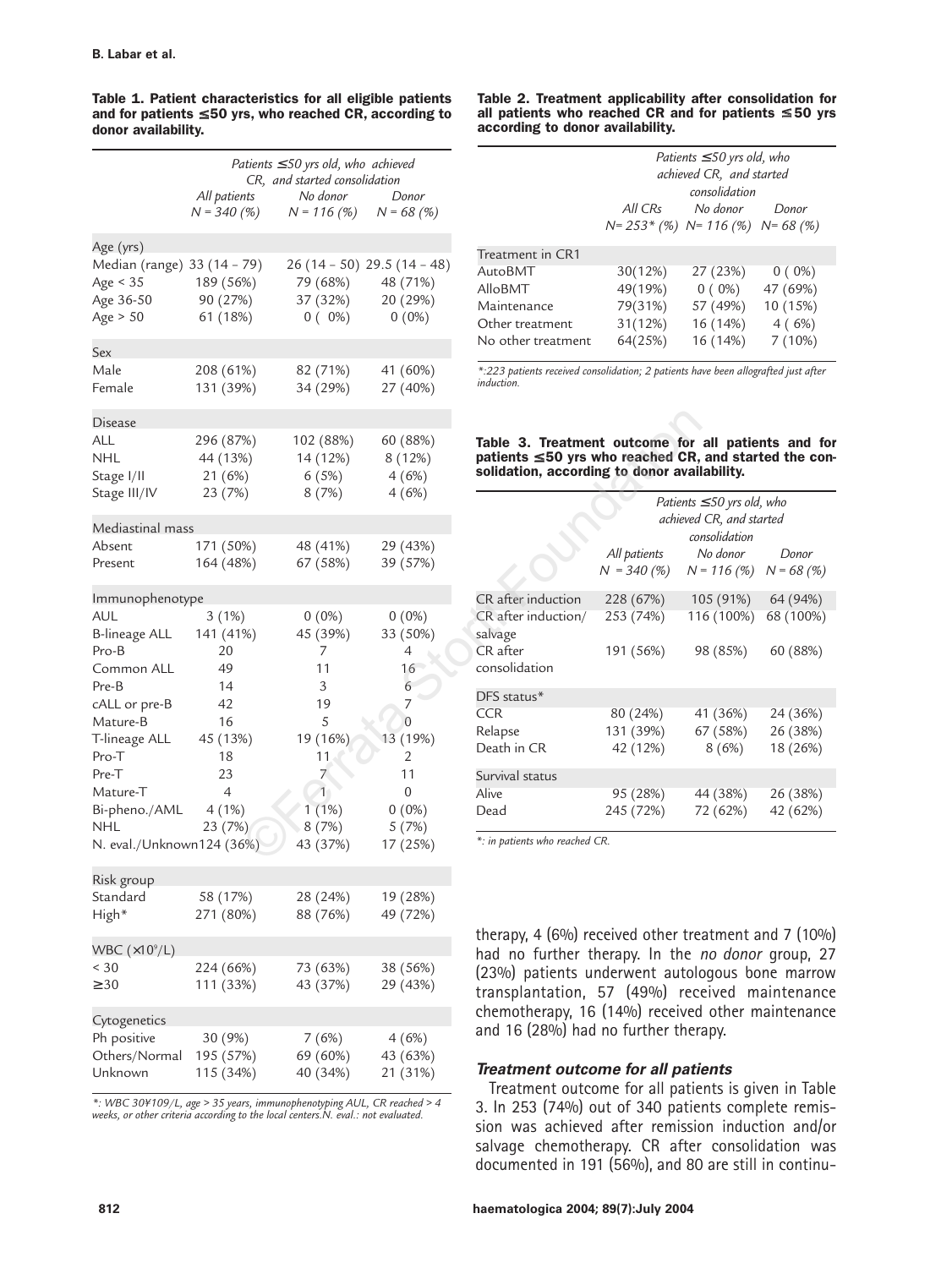|                                                        | Patients $\leq$ 50 yrs old, who achieved<br>CR, and started consolidation |                                                    |                                       | Patients.<br>achieved                                                                                            |                                  |                               |
|--------------------------------------------------------|---------------------------------------------------------------------------|----------------------------------------------------|---------------------------------------|------------------------------------------------------------------------------------------------------------------|----------------------------------|-------------------------------|
|                                                        | All patients<br>$N = 340(%)$                                              | No donor<br>$N = 116(%)$                           | Donor<br>$N = 68(%)$                  |                                                                                                                  | All CRs<br>$N = 253 * (%)$ $N =$ | CO<br>Λ                       |
| Age (yrs)                                              |                                                                           |                                                    |                                       |                                                                                                                  |                                  |                               |
| Median (range) 33 (14 - 79)<br>Age $<$ 35<br>Age 36-50 | 189 (56%)<br>90 (27%)                                                     | $26(14-50)$ 29.5 (14 - 48)<br>79 (68%)<br>37 (32%) | 48 (71%)<br>20 (29%)                  | Treatment in CR1<br><b>AutoBMT</b><br>AlloBMT                                                                    | 30(12%)<br>49(19%)               | 2.<br>0                       |
| Age $> 50$                                             | 61 (18%)                                                                  | $0(0\%)$                                           | $0(0\%)$                              | Maintenance<br>Other treatment<br>No other treatment                                                             | 79(31%)<br>31(12%)<br>64(25%)    | 5<br>1<br>1                   |
| Sex                                                    |                                                                           |                                                    |                                       |                                                                                                                  |                                  |                               |
| Male<br>Female                                         | 208 (61%)<br>131 (39%)                                                    | 82 (71%)<br>34 (29%)                               | 41 (60%)<br>27 (40%)                  | *:223 patients received consolidation; 2 patients ha<br><i>induction.</i>                                        |                                  |                               |
| <b>Disease</b>                                         |                                                                           |                                                    |                                       |                                                                                                                  |                                  |                               |
| ALL<br><b>NHL</b><br>Stage I/II<br>Stage III/IV        | 296 (87%)<br>44 (13%)<br>21 (6%)<br>23 (7%)                               | 102 (88%)<br>14 (12%)<br>6(5%)<br>8(7%)            | 60 (88%)<br>8 (12%)<br>4(6%)<br>4(6%) | Table 3. Treatment outcome for<br>patients $\leq 50$ yrs who reached CR,<br>solidation, according to donor avail |                                  |                               |
|                                                        |                                                                           |                                                    |                                       |                                                                                                                  |                                  | Patients:<br>achieved         |
| Mediastinal mass                                       |                                                                           |                                                    |                                       |                                                                                                                  |                                  | COI                           |
| Absent<br>Present                                      | 171 (50%)<br>164 (48%)                                                    | 48 (41%)<br>67 (58%)                               | 29 (43%)<br>39 (57%)                  |                                                                                                                  | All patients<br>$N = 340(%)$     | $\prime$<br>$N^{\frac{1}{2}}$ |
| Immunophenotype                                        |                                                                           |                                                    |                                       | CR after induction                                                                                               | 228 (67%)                        | $\frac{1}{2}$                 |
| AUL<br><b>B-lineage ALL</b>                            | 3(1%)<br>141 (41%)                                                        | $0(0\%)$<br>45 (39%)                               | $0(0\%)$<br>33 (50%)                  | CR after induction/<br>salvage<br>CR after                                                                       | 253 (74%)                        | 11                            |
| Pro-B<br>Common ALL<br>Pre-B                           | 20<br>49<br>14                                                            | 7<br>11<br>3                                       | 4<br>16<br>6                          | consolidation                                                                                                    | 191 (56%)                        | 9                             |
| cALL or pre-B                                          | 42                                                                        | 19                                                 | 7                                     | DFS status*                                                                                                      |                                  |                               |
| Mature-B                                               | 16                                                                        | 5                                                  | $\Omega$                              | <b>CCR</b>                                                                                                       | 80 (24%)                         | 4                             |
| T-lineage ALL<br>Pro-T                                 | 45 (13%)<br>18                                                            | 19 (16%)<br>11                                     | 13 (19%)<br>2                         | Relapse<br>Death in CR                                                                                           | 131 (39%)<br>42 (12%)            | 6                             |
| Pre-T                                                  | 23                                                                        | $\overline{7}$                                     | 11                                    | Survival status                                                                                                  |                                  |                               |
| Mature-T                                               | $\overline{4}$                                                            | $\overline{1}$                                     | $\overline{0}$                        | Alive                                                                                                            | 95 (28%)                         | 4                             |
| Bi-pheno./AML<br>NHL                                   | 4(1%)<br>23 (7%)                                                          | $1(1\%)$<br>8(7%)                                  | $0(0\%)$<br>5(7%)                     | Dead                                                                                                             | 245 (72%)                        | 7                             |
| N. eval./Unknown124 (36%)                              |                                                                           | 43 (37%)                                           | 17 (25%)                              | *: in patients who reached CR.                                                                                   |                                  |                               |
| Risk group                                             |                                                                           |                                                    |                                       |                                                                                                                  |                                  |                               |
| Standard                                               | 58 (17%)                                                                  | 28 (24%)                                           | 19 (28%)                              |                                                                                                                  |                                  |                               |
| High*                                                  | 271 (80%)                                                                 | 88 (76%)                                           | 49 (72%)                              |                                                                                                                  |                                  |                               |
| WBC $(x109/L)$                                         |                                                                           |                                                    |                                       | therapy, 4 (6%) received other tre                                                                               |                                  |                               |
| < 30                                                   | 224 (66%)                                                                 | 73 (63%)                                           | 38 (56%)                              | had no further therapy. In the                                                                                   |                                  |                               |
| $\geq 30$                                              | 111 (33%)                                                                 | 43 (37%)                                           | 29 (43%)                              | (23%) patients underwent autolo<br>transplantation, 57 (49%) rec-                                                |                                  |                               |
| Cytogenetics                                           |                                                                           |                                                    |                                       | chemotherapy, 16 (14%) received                                                                                  |                                  |                               |
| Ph positive<br>Others/Normal<br>Unknown                | 30 (9%)<br>195 (57%)<br>115 (34%)                                         | 7(6%)<br>69 (60%)<br>40 (34%)                      | 4(6%)<br>43 (63%)<br>21 (31%)         | and 16 (28%) had no further ther<br>Treatment outcome for all pati                                               |                                  |                               |

**Table 1. Patient characteristics for all eligible patients and for patients** ≤ **50 yrs, who reached CR, according to donor availability.**

*\*: WBC 30¥109/L, age > 35 years, immunophenotyping AUL, CR reached > 4 weeks, or other criteria according to the local centers.N. eval.: not evaluated.*

#### **Table 2. Treatment applicability after consolidation for all patients who reached CR and for patients** ≤ **50 yrs according to donor availability.**

| Patients $\leq$ 50 yrs old, who<br>achieved CR, and started |          |                                            |  |  |
|-------------------------------------------------------------|----------|--------------------------------------------|--|--|
| consolidation                                               |          |                                            |  |  |
| All CRs                                                     | No donor | Donor                                      |  |  |
|                                                             |          |                                            |  |  |
|                                                             |          |                                            |  |  |
| 30(12%)                                                     | 27 (23%) | $0(0\%)$                                   |  |  |
| 49(19%)                                                     | $0(0\%)$ | 47 (69%)                                   |  |  |
| 79(31%)                                                     | 57 (49%) | 10 (15%)                                   |  |  |
| 31(12%)                                                     | 16 (14%) | 4(6%)                                      |  |  |
| 64(25%)                                                     | 16 (14%) | 7(10%)                                     |  |  |
|                                                             |          | $N = 253$ * (%) $N = 116$ (%) $N = 68$ (%) |  |  |

*\*:223 patients received consolidation; 2 patients have been allografted just after induction.*

#### **Table 3. Treatment outcome for all patients and for patients** ≤ **50 yrs who reached CR, and started the consolidation, according to donor availability.**

|                                | Patients $\leq$ 50 yrs old, who<br>achieved CR, and started<br>consolidation |            |           |  |  |
|--------------------------------|------------------------------------------------------------------------------|------------|-----------|--|--|
|                                | All patients<br>$N = 340 (%)$ $N = 116 (%)$ $N = 68 (%)$                     | No donor   | Donor     |  |  |
| CR after induction             | 228 (67%)                                                                    | 105 (91%)  | 64 (94%)  |  |  |
| CR after induction/<br>salvage | 253 (74%)                                                                    | 116 (100%) | 68 (100%) |  |  |
| $CR$ after<br>consolidation    | 191 (56%)                                                                    | 98 (85%)   | 60 (88%)  |  |  |
| $DFS$ status $*$               |                                                                              |            |           |  |  |
| <b>CCR</b>                     | 80 (24%)                                                                     | 41 (36%)   | 24 (36%)  |  |  |
| Relapse                        | 131 (39%)                                                                    | 67 (58%)   | 26 (38%)  |  |  |
| Death in CR                    | 42 (12%)                                                                     | 8(6%)      | 18 (26%)  |  |  |
| Survival status                |                                                                              |            |           |  |  |
| Alive                          | 95 (28%)                                                                     | 44 (38%)   | 26 (38%)  |  |  |
| Dead                           | 245 (72%)                                                                    | 72 (62%)   | 42 (62%)  |  |  |

therapy, 4 (6%) received other treatment and 7 (10%) had no further therapy. In the *no donor* group, 27 (23%) patients underwent autologous bone marrow transplantation, 57 (49%) received maintenance chemotherapy, 16 (14%) received other maintenance and 16 (28%) had no further therapy.

## **Treatment outcome for all patients**

Treatment outcome for all patients is given in Table 3. In 253 (74%) out of 340 patients complete remission was achieved after remission induction and/or salvage chemotherapy. CR after consolidation was documented in 191 (56%), and 80 are still in continu-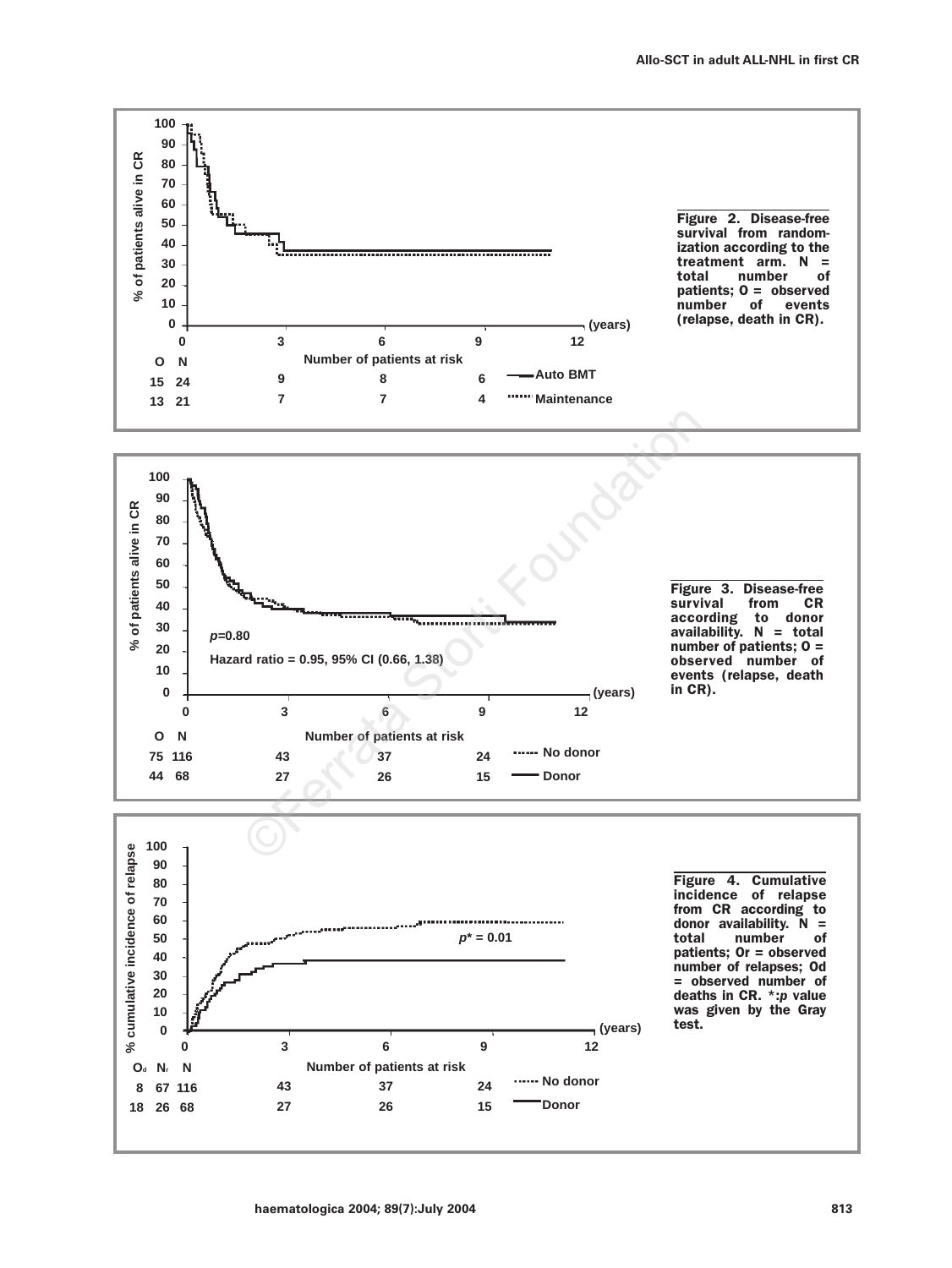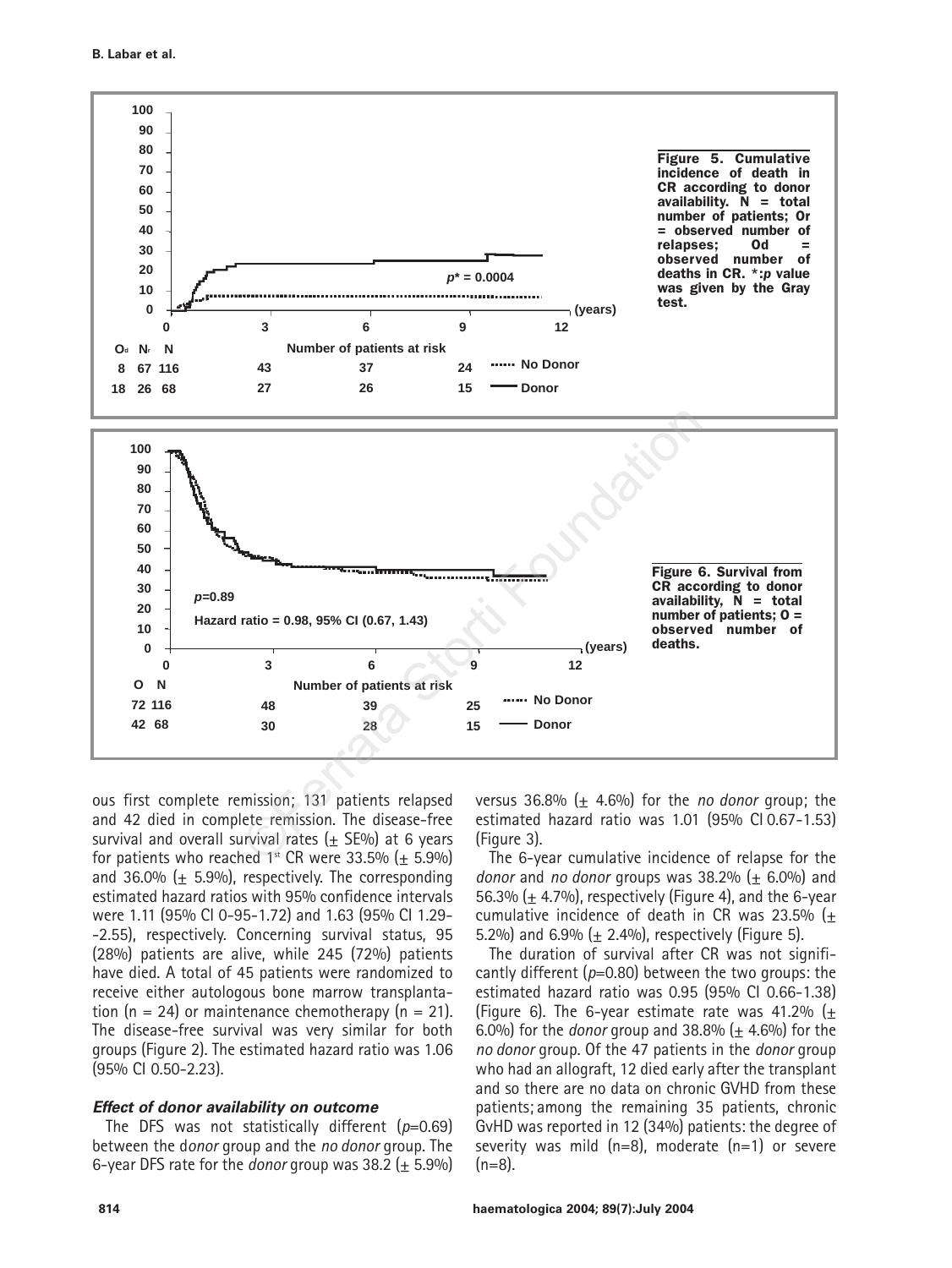

ous first complete remission; 131 patients relapsed and 42 died in complete remission. The disease-free survival and overall survival rates  $(+$  SE%) at 6 years for patients who reached  $1<sup>st</sup>$  CR were 33.5% (+ 5.9%) and 36.0%  $(\pm 5.9\%)$ , respectively. The corresponding estimated hazard ratios with 95% confidence intervals were 1.11 (95% CI 0-95-1.72) and 1.63 (95% CI 1.29- -2.55), respectively. Concerning survival status, 95 (28%) patients are alive, while 245 (72%) patients have died. A total of 45 patients were randomized to receive either autologous bone marrow transplantation (n = 24) or maintenance chemotherapy (n = 21). The disease-free survival was very similar for both groups (Figure 2). The estimated hazard ratio was 1.06 (95% CI 0.50-2.23).

### **Effect of donor availability on outcome**

The DFS was not statistically different (*p*=0.69) between the d*onor* group and the *no donor* group. The 6-year DFS rate for the *donor* group was  $38.2$  ( $\pm$  5.9%)

versus  $36.8\%$  ( $\pm$  4.6%) for the *no donor* group; the estimated hazard ratio was 1.01 (95% CI 0.67-1.53) (Figure 3).

The 6-year cumulative incidence of relapse for the *donor* and *no donor* groups was 38.2% (± 6.0%) and 56.3% ( $\pm$  4.7%), respectively (Figure 4), and the 6-year cumulative incidence of death in CR was 23.5%  $(\pm$ 5.2%) and 6.9%  $(\pm 2.4\%)$ , respectively (Figure 5).

The duration of survival after CR was not significantly different (*p*=0.80) between the two groups: the estimated hazard ratio was 0.95 (95% CI 0.66-1.38) (Figure 6). The 6-year estimate rate was 41.2% ( $\pm$ 6.0%) for the *donor* group and  $38.8\%$  ( $\pm$  4.6%) for the *no donor* group. Of the 47 patients in the *donor* group who had an allograft, 12 died early after the transplant and so there are no data on chronic GVHD from these patients; among the remaining 35 patients, chronic GvHD was reported in 12 (34%) patients: the degree of severity was mild (n=8), moderate (n=1) or severe  $(n=8)$ .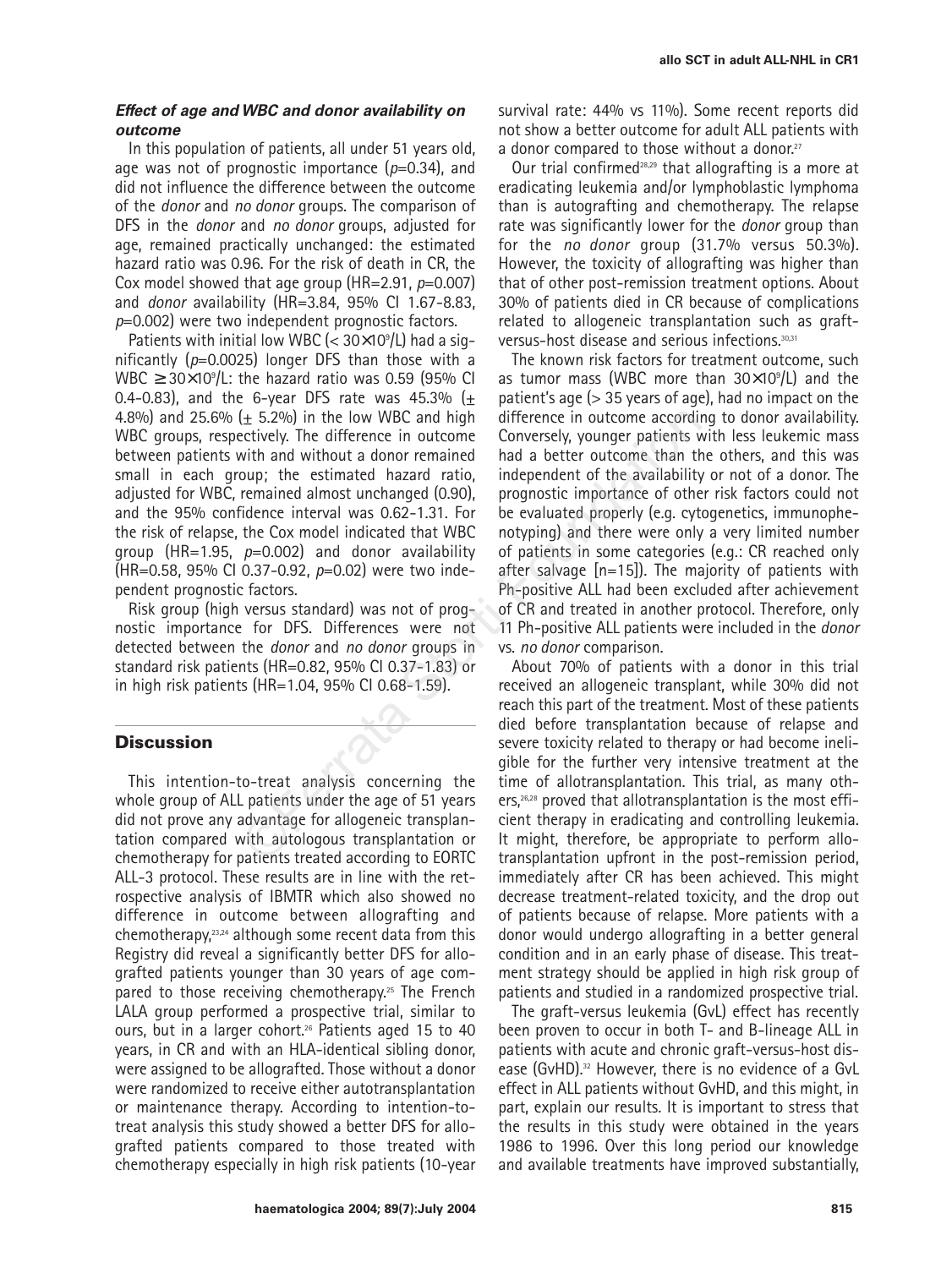## **Effect of age and WBC and donor availability on outcome**

In this population of patients, all under 51 years old, age was not of prognostic importance (*p*=0.34), and did not influence the difference between the outcome of the *donor* and *no donor* groups. The comparison of DFS in the *donor* and *no donor* groups, adjusted for age, remained practically unchanged: the estimated hazard ratio was 0.96. For the risk of death in CR, the Cox model showed that age group (HR=2.91, *p*=0.007) and *donor* availability (HR=3.84, 95% CI 1.67-8.83, *p*=0.002) were two independent prognostic factors.

Patients with initial low WBC (< 30×109 /L) had a significantly (*p*=0.0025) longer DFS than those with a  $WBC \geq 30 \times 10^9/L$ : the hazard ratio was 0.59 (95% CI 0.4-0.83), and the 6-year DFS rate was 45.3%  $(+$ 4.8%) and 25.6%  $(+ 5.2\%)$  in the low WBC and high WBC groups, respectively. The difference in outcome between patients with and without a donor remained small in each group; the estimated hazard ratio, adjusted for WBC, remained almost unchanged (0.90), and the 95% confidence interval was 0.62-1.31. For the risk of relapse, the Cox model indicated that WBC group (HR=1.95, *p*=0.002) and donor availability (HR=0.58, 95% CI 0.37-0.92, *p*=0.02) were two independent prognostic factors.

Risk group (high versus standard) was not of prognostic importance for DFS. Differences were not detected between the *donor* and *no donor* groups in standard risk patients (HR=0.82, 95% CI 0.37-1.83) or in high risk patients (HR=1.04, 95% CI 0.68-1.59).

## **Discussion**

This intention-to-treat analysis concerning the whole group of ALL patients under the age of 51 years did not prove any advantage for allogeneic transplantation compared with autologous transplantation or chemotherapy for patients treated according to EORTC ALL-3 protocol. These results are in line with the retrospective analysis of IBMTR which also showed no difference in outcome between allografting and chemotherapy,23,24 although some recent data from this Registry did reveal a significantly better DFS for allografted patients younger than 30 years of age compared to those receiving chemotherapy.25 The French LALA group performed a prospective trial, similar to ours, but in a larger cohort.<sup>26</sup> Patients aged 15 to 40 years, in CR and with an HLA-identical sibling donor, were assigned to be allografted. Those without a donor were randomized to receive either autotransplantation or maintenance therapy. According to intention-totreat analysis this study showed a better DFS for allografted patients compared to those treated with chemotherapy especially in high risk patients (10-year survival rate: 44% vs 11%). Some recent reports did not show a better outcome for adult ALL patients with a donor compared to those without a donor.<sup>27</sup>

Our trial confirmed28,29 that allografting is a more at eradicating leukemia and/or lymphoblastic lymphoma than is autografting and chemotherapy. The relapse rate was significantly lower for the *donor* group than for the *no donor* group (31.7% versus 50.3%). However, the toxicity of allografting was higher than that of other post-remission treatment options. About 30% of patients died in CR because of complications related to allogeneic transplantation such as graftversus-host disease and serious infections.30,31

The known risk factors for treatment outcome, such as tumor mass (WBC more than  $30\times10^9$ /L) and the patient's age (> 35 years of age), had no impact on the difference in outcome according to donor availability. Conversely, younger patients with less leukemic mass had a better outcome than the others, and this was independent of the availability or not of a donor. The prognostic importance of other risk factors could not be evaluated properly (e.g. cytogenetics, immunophenotyping) and there were only a very limited number of patients in some categories (e.g.: CR reached only after salvage [n=15]). The majority of patients with Ph-positive ALL had been excluded after achievement of CR and treated in another protocol. Therefore, only 11 Ph-positive ALL patients were included in the *donor* vs. *no donor* comparison. ( $\pm$  5.2%) in the low WBC and high difference in outcome accordinatively. The difference in outcome Conversely, younger patients viving and without a donor remained had a better outcome than thy testimated almost unchang

About 70% of patients with a donor in this trial received an allogeneic transplant, while 30% did not reach this part of the treatment. Most of these patients died before transplantation because of relapse and severe toxicity related to therapy or had become ineligible for the further very intensive treatment at the time of allotransplantation. This trial, as many others,<sup>26,28</sup> proved that allotransplantation is the most efficient therapy in eradicating and controlling leukemia. It might, therefore, be appropriate to perform allotransplantation upfront in the post-remission period, immediately after CR has been achieved. This might decrease treatment-related toxicity, and the drop out of patients because of relapse. More patients with a donor would undergo allografting in a better general condition and in an early phase of disease. This treatment strategy should be applied in high risk group of patients and studied in a randomized prospective trial.

The graft-versus leukemia (GvL) effect has recently been proven to occur in both T- and B-lineage ALL in patients with acute and chronic graft-versus-host disease (GvHD).<sup>32</sup> However, there is no evidence of a GvL effect in ALL patients without GvHD, and this might, in part, explain our results. It is important to stress that the results in this study were obtained in the years 1986 to 1996. Over this long period our knowledge and available treatments have improved substantially,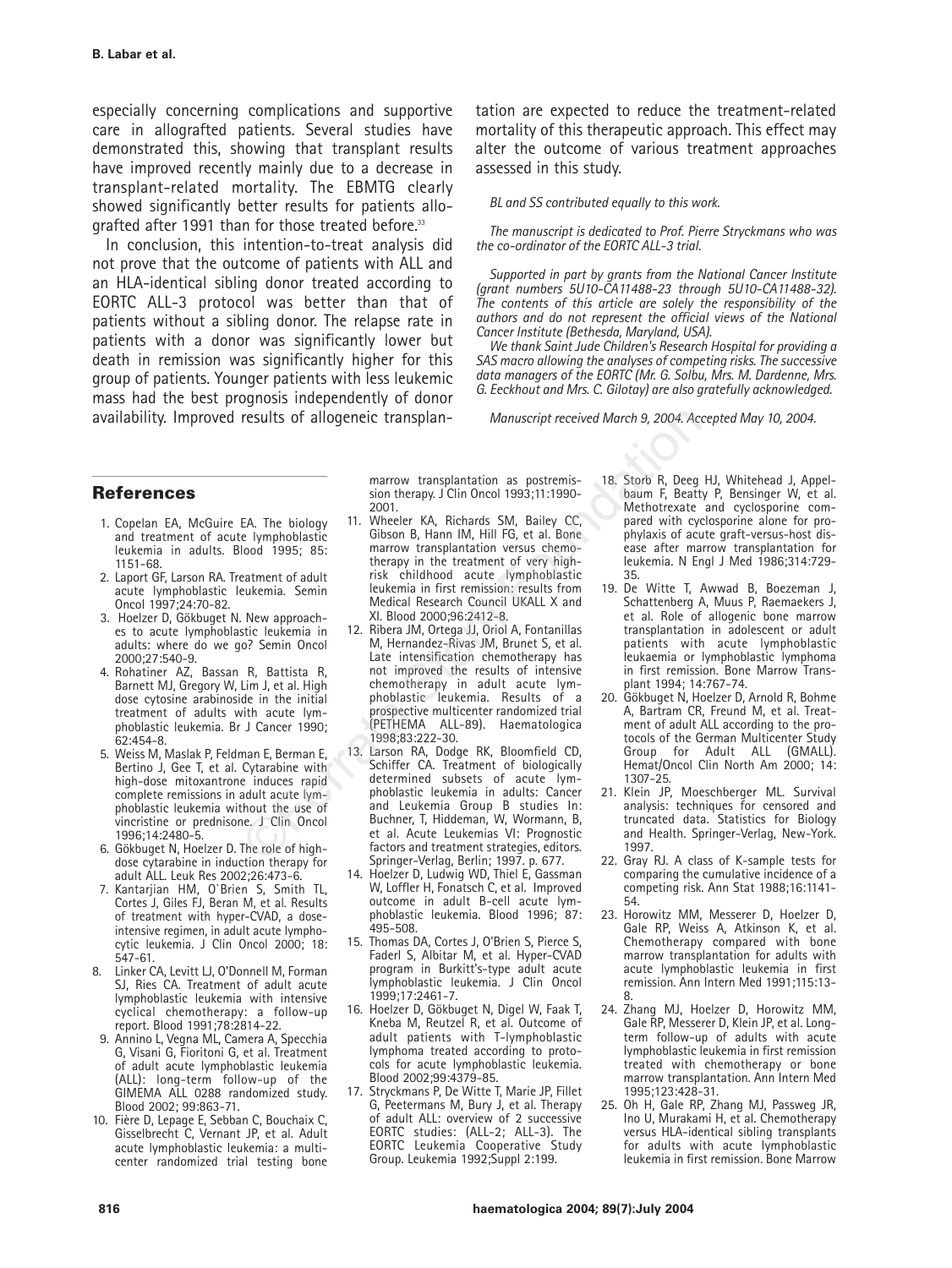especially concerning complications and supportive care in allografted patients. Several studies have demonstrated this, showing that transplant results have improved recently mainly due to a decrease in transplant-related mortality. The EBMTG clearly showed significantly better results for patients allografted after 1991 than for those treated before.<sup>33</sup>

In conclusion, this intention-to-treat analysis did not prove that the outcome of patients with ALL and an HLA-identical sibling donor treated according to EORTC ALL-3 protocol was better than that of patients without a sibling donor. The relapse rate in patients with a donor was significantly lower but death in remission was significantly higher for this group of patients. Younger patients with less leukemic mass had the best prognosis independently of donor availability. Improved results of allogeneic transplantation are expected to reduce the treatment-related mortality of this therapeutic approach. This effect may alter the outcome of various treatment approaches assessed in this study.

#### *BL and SS contributed equally to this work.*

*The manuscript is dedicated to Prof. Pierre Stryckmans who was the co-ordinator of the EORTC ALL-3 trial.*

*Supported in part by grants from the National Cancer Institute (grant numbers 5U10-CA11488-23 through 5U10-CA11488-32). The contents of this article are solely the responsibility of the authors and do not represent the official views of the National Cancer Institute (Bethesda, Maryland, USA).* 

*We thank Saint Jude Children's Research Hospital for providing a SAS macro allowing the analyses of competing risks. The successive data managers of the EORTC (Mr. G. Solbu, Mrs. M. Dardenne, Mrs. G. Eeckhout and Mrs. C. Gilotay) are also gratefully acknowledged.*

*Manuscript received March 9, 2004. Accepted May 10, 2004.*

## **References**

- 1. Copelan EA, McGuire EA. The biology and treatment of acute lymphoblastic leukemia in adults. Blood 1995; 85: 1151-68.
- 2. Laport GF, Larson RA. Treatment of adult acute lymphoblastic leukemia. Semin Oncol 1997;24:70-82.
- 3. Hoelzer D, Gökbuget N. New approaches to acute lymphoblastic leukemia in adults: where do we go? Semin Oncol 2000;27:540-9.
- 4. Rohatiner AZ, Bassan R, Battista R, Barnett MJ, Gregory W, Lim J, et al. High dose cytosine arabinoside in the initial treatment of adults with acute lymphoblastic leukemia. Br J Cancer 1990; 62:454-8.
- 5. Weiss M, Maslak P, Feldman E, Berman E, Bertino J, Gee T, et al. Cytarabine with high-dose mitoxantrone induces rapid complete remissions in adult acute lymphoblastic leukemia without the use of vincristine or prednisone. J Clin Oncol 1996;14:2480-5.
- 6. Gökbuget N, Hoelzer D. The role of highdose cytarabine in induction therapy for adult ALL. Leuk Res 2002;26:473-6.
- 7. Kantarjian HM, O`Brien S, Smith TL, Cortes J, Giles FJ, Beran M, et al. Results of treatment with hyper-CVAD, a doseintensive regimen, in adult acute lymphocytic leukemia. J Clin Oncol 2000; 18: 547-61.
- 8. Linker CA, Levitt LJ, O'Donnell M, Forman SJ, Ries CA. Treatment of adult acute lymphoblastic leukemia with intensive cyclical chemotherapy: a follow-up report. Blood 1991;78:2814-22.
- 9. Annino L, Vegna ML, Camera A, Specchia G, Visani G, Fioritoni G, et al. Treatment of adult acute lymphoblastic leukemia (ALL): long-term follow-up of the GIMEMA ALL 0288 randomized study. Blood 2002; 99:863-71.
- 10. Fière D, Lepage E, Sebban C, Bouchaix C, Gisselbrecht C, Vernant JP, et al. Adult acute lymphoblastic leukemia: a multicenter randomized trial testing bone

marrow transplantation as postremis-<br>sion therapy. J Clin Oncol 1993;11:1990-2001.

- 11. Wheeler KA, Richards SM, Bailey CC, Gibson B, Hann IM, Hill FG, et al. Bone marrow transplantation versus chemotherapy in the treatment of very highrisk childhood acute lymphoblastic leukemia in first remission: results from Medical Research Council UKALL X and XI. Blood 2000;96:2412-8.
- 12. Ribera JM, Ortega JJ, Oriol A, Fontanillas M, Hernandez-Rivas JM, Brunet S, et al. Late intensification chemotherapy has not improved the results of intensive chemotherapy in adult acute lymphoblastic leukemia. Results of a prospective multicenter randomized trial (PETHEMA ALL-89). Haematologica 1998;83:222-30. results of allogeneic transplan-<br>
Manuscript received March 9, 2004. Acc<br>
Soon Acc<br>
Soon therapy. J Clin Oncol 1993;11:1990-<br>
EA. The biology<br>
11. Wheeler KA, Richards SM, Bailey CC,<br>
Method results of the simplicity of th
	- 13. Larson RA, Dodge RK, Bloomfield CD, Schiffer CA. Treatment of biologically<br>determined subsets of acute lymphoblastic leukemia in adults: Cancer and Leukemia Group B studies In: Buchner, T, Hiddeman, W, Wormann, B, et al. Acute Leukemias VI: Prognostic factors and treatment strategies, editors. Springer-Verlag, Berlin; 1997. p. 677.
	- 14. Hoelzer D, Ludwig WD, Thiel E, Gassman W, Loffler H, Fonatsch C, et al. Improved outcome in adult B-cell acute lymphoblastic leukemia. Blood 1996; 87: 495-508.
	- 15. Thomas DA, Cortes J, O'Brien S, Pierce S, Faderl S, Albitar M, et al. Hyper-CVAD program in Burkitt's-type adult acute lymphoblastic leukemia. J Clin Oncol 1999;17:2461-7.
	- 16. Hoelzer D, Gökbuget N, Digel W, Faak T, Kneba M, Reutzel R, et al. Outcome of adult patients with T-lymphoblastic lymphoma treated according to protocols for acute lymphoblastic leukemia. Blood 2002;99:4379-85.
	- 17. Stryckmans P, De Witte T, Marie JP, Fillet G, Peetermans M, Bury J, et al. Therapy of adult ALL: overview of 2 successive EORTC studies: (ALL-2; ALL-3). The EORTC Leukemia Cooperative Study Group. Leukemia 1992;Suppl 2:199.
- 18. Storb R, Deeg HJ, Whitehead J, Appelbaum F, Beatty P, Bensinger W, et al. Methotrexate and cyclosporine compared with cyclosporine alone for prophylaxis of acute graft-versus-host disease after marrow transplantation for leukemia. N Engl J Med 1986;314:729- 35.
- 19. De Witte T, Awwad B, Boezeman J, Schattenberg A, Muus P, Raemaekers J, et al. Role of allogenic bone marrow transplantation in adolescent or adult patients with acute lymphoblastic leukaemia or lymphoblastic lymphoma in first remission. Bone Marrow Transplant 1994; 14:767-74.
- 20. Gökbuget N, Hoelzer D, Arnold R, Bohme A, Bartram CR, Freund M, et al. Treatment of adult ALL according to the protocols of the German Multicenter Study Group for Adult ALL (GMALL). Hemat/Oncol Clin North Am 2000; 14: 1307-25.
- 21. Klein JP, Moeschberger ML. Survival analysis: techniques for censored and truncated data. Statistics for Biology and Health. Springer-Verlag, New-York. 1997.
- 22. Gray RJ. A class of K-sample tests for comparing the cumulative incidence of a competing risk. Ann Stat 1988;16:1141- 54.
- 23. Horowitz MM, Messerer D, Hoelzer D, Gale RP, Weiss A, Atkinson K, et al. Chemotherapy compared with bone marrow transplantation for adults with acute lymphoblastic leukemia in first remission. Ann Intern Med 1991;115:13- 8.
- 24. Zhang MJ, Hoelzer D, Horowitz MM, Gale RP, Messerer D, Klein JP, et al. Longterm follow-up of adults with acute lymphoblastic leukemia in first remission treated with chemotherapy or bone marrow transplantation. Ann Intern Med 1995;123:428-31.
- 25. Oh H, Gale RP, Zhang MJ, Passweg JR, Ino U, Murakami H, et al. Chemotherapy versus HLA-identical sibling transplants for adults with acute lymphoblastic leukemia in first remission. Bone Marrow